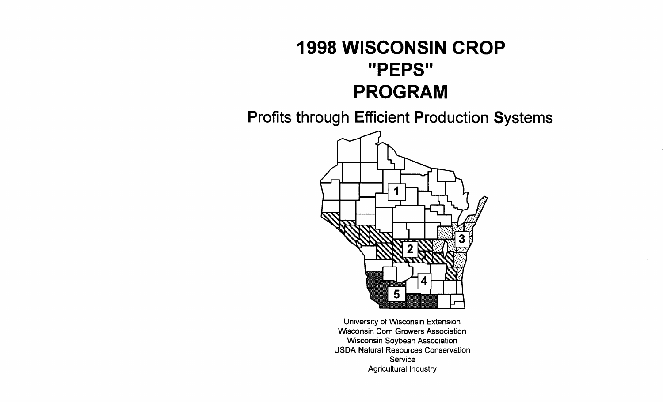# **1998 WISCONSIN CROP** "PEPS" **PROGRAM**

**Profits through Efficient Production Systems** 



University of Wisconsin Extension **Wisconsin Corn Growers Association Wisconsin Soybean Association USDA Natural Resources Conservation** Service **Agricultural Industry**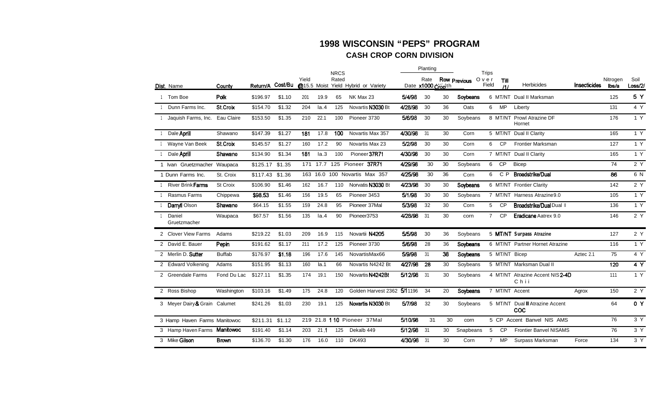#### **1998 WISCONSIN "PEPS" PROGRAM CASH CROP CORN DIVISION**

|                               |               |          |         |                        |          | <b>NRCS</b> |                            |                   | Planting        |    |              | <b>Trips</b>   |               |                                          |                     |                   |                 |
|-------------------------------|---------------|----------|---------|------------------------|----------|-------------|----------------------------|-------------------|-----------------|----|--------------|----------------|---------------|------------------------------------------|---------------------|-------------------|-----------------|
| Dist. Name                    | County        | Return/A | Cost/Bu | Yield<br>$@15.5$ Moist |          | Rated       | Yield Hybrid or Variety    | Date x1000 cropth | Rate            |    | Row Previous | Over<br>Field  | Till<br>111   | Herbicides                               | <b>Insecticides</b> | Nitrogen<br>lbs/a | Soil<br>Loss/2/ |
| 1 Tom Boe                     | Polk          | \$196.97 | \$1.10  | 201                    | 19.9     | 65          | NK Max 23                  | 5/4/98            | 30              | 30 | Soybeans     |                | 6 MT/NT       | Dual II Marksman                         |                     | 125               | 5 Y             |
| Dunn Farms Inc.               | St.Croix      | \$154.70 | \$1.32  | 204                    | Ia.4     | 125         | Novartis N3030 Bt          | 4/28/98           | 30              | 36 | Oats         | 6              | <b>MP</b>     | Liberty                                  |                     | 131               | 4 Y             |
| Jaquish Farms, Inc.           | Eau Claire    | \$153.50 | \$1.35  | 210                    | 22.1     | 100         | Pioneer 3730               | 5/6/98            | 30              | 30 | Soybeans     |                | 8 MT/NT       | <b>Prowl Atrazine DF</b><br>Hornet       |                     | 176               | 1 Y             |
| Dale <b>Aprill</b>            | Shawano       | \$147.39 | \$1.27  | 181                    | 17.8     | 100         | Novartis Max 357           | 4/30/98           | 31              | 30 | Corn         |                |               | 5 MT/NT Dual II Clarity                  |                     | 165               | 1 Y             |
| Wayne Van Beek                | St.Croix      | \$145.57 | \$1.27  | 160                    | 17.2     | 90          | Novartis Max 23            | 5/2/98            | 30              | 30 | Corn         | 6              | <b>CP</b>     | <b>Frontier Marksman</b>                 |                     | 127               | 1 Y             |
| Dale <b>Aprill</b>            | Shawano       | \$134.90 | \$1.34  | 181                    | Ia.3     | 100         | Pioneer 37R71              | 4/30/98           | 30              | 30 | Corn         |                |               | 7 MT/NT Dual II Clarity                  |                     | 165               | 1 Y             |
| 1 Ivan Gruetzmacher Waupaca   |               | \$125.17 | \$1.35  | 171                    | 17.7     |             | 125 Pioneer 37R71          | 4/29/98           | 30              | 30 | Soybeans     | 6              | <b>CP</b>     | <b>Bicep</b>                             |                     | 74                | 2 Y             |
| 1 Dunn Farms Inc.             | St. Croix     | \$117.43 | \$1.36  |                        | 163 16.0 |             | 100 Novartis Max 357       | 4/25/98           | 30              | 36 | Corn         | 6              | C P           | <b>Broadstrike/Dual</b>                  |                     | 86                | 6 N             |
| River Brink Farms             | St Croix      | \$106.90 | \$1.46  | 162                    | 16.7     | 110         | Norvatis N3030 Bt          | 4/23/98           | 30              | 30 | Soybeans     |                |               | 6 MT/NT Frontier Clarity                 |                     | 142               | 2 Y             |
| Rasmus Farms                  | Chippewa      | \$98.53  | \$1.46  | 156                    | 19.5     | 65          | Pioneer 3453               | 5/1/98            | 30              | 30 | Soybeans     |                |               | 7 MT/NT Harness Atrazine 9.0             |                     | 105               | 1 Y             |
| Darryll Olson                 | Shawano       | \$64.15  | \$1.55  | 159                    | 24.8     | 95          | Pioneer 37Mal              | 5/3/98            | 32              | 30 | Corn         | 5 <sup>5</sup> | <b>CP</b>     | Broadstrike/Dual Dual II                 |                     | 136               | 1 Y             |
| Daniel<br>Gruetzmacher        | Waupaca       | \$67.57  | \$1.56  | 135                    | $l$ a.4  | 90          | Pioneer3753                | 4/28/98           | 31              | 30 | corn         | $\overline{7}$ | <b>CP</b>     | Eradicane Aatrex 9.0                     |                     | 146               | 2 Y             |
| 2 Clover View Farms           | Adams         | \$219.22 | \$1.03  | 209                    | 16.9     | 115         | Novartii N4205             | 5/5/98            | 30              | 36 | Soybeans     |                |               | 5 MT/NT Surpass Atrazine                 |                     | 127               | 2 Y             |
| 2 David E. Bauer              | Pepin         | \$191.62 | \$1.17  | 211                    | 17.2     | 125         | Pioneer 3730               | 5/6/98            | 28              | 36 | Soybeans     |                |               | 6 MT/NT Partner Hornet Atrazine          |                     | 116               | 1 Y             |
| 2 Merlin D. Sutter            | <b>Buffab</b> | \$176.97 | \$1.18  | 196                    | 17.6     | 145         | NovartisMax66              | 5/9/98            | 31              | 38 | Soybeans     |                | 5 MT/NT Bicep |                                          | Aztec 2.1           | 75                | 4Y              |
| 2 Edward Volkening            | Adams         | \$151.95 | \$1.13  | 160                    | $l$ a.1  | 66          | Novartis N4242 Bt          | 4/27/98           | $\overline{28}$ | 30 | Soybeans     |                |               | 5 MT/NT Marksman Dual II                 |                     | 120               | 4Y              |
| 2 Greendale Farms             | Fond Du Lac   | \$127.11 | \$1.35  | 174                    | 19.1     | 150         | Novartis N4242Bt           | 5/12/98           | 31              | 30 | Soybeans     |                |               | 4 MT/NT Atrazine Accent NIS 2-4D<br>Chii |                     | 111               | 1Y              |
| 2 Ross Bishop                 | Washington    | \$103.16 | \$1.49  | 175                    | 24.8     | 120         | Golden Harvest 2362        | 5/11196           | 34              | 20 | Soybeans     |                |               | 7 MT/NT Accent                           | Agrox               | 150               | 2Y              |
| 3 Meyer Dairy & Grain Calumet |               | \$241.26 | \$1.03  | 230                    | 19.1     | 125         | Novartis N3030 Bt          | 5/7/98            | 32              | 30 | Soybeans     |                |               | 5 MT/NT Dual II Atrazine Accent<br>COC   |                     | 64                | 0 Y             |
| 3 Hamp Haven Farms Manitowoc  |               | \$211.31 | \$1.12  |                        |          |             | 219 21.8 110 Pioneer 37Mal | 5/10/98           | 31              | 30 | corn         |                |               | 5 CP Accent Banvel NIS AMS               |                     | 76                | 3 Y             |
| 3 Hamp Haven Farms Manitowoc  |               | \$191.40 | \$1.14  | 203                    | 21.1     | 125         | Dekalb 449                 | 5/12/98           | 31              | 30 | Snapbeans    | $5^{\circ}$    | <b>CP</b>     | <b>Frontier Banvel NISAMS</b>            |                     | 76                | 3Y              |
| 3 Mike Gilson                 | <b>Brown</b>  | \$136.70 | \$1.30  | 176                    | 16.0     | 110         | <b>DK493</b>               | 4/30/98           | 31              | 30 | Corn         | $\overline{7}$ | <b>MP</b>     | Surpass Marksman                         | Force               | 134               | 3Y              |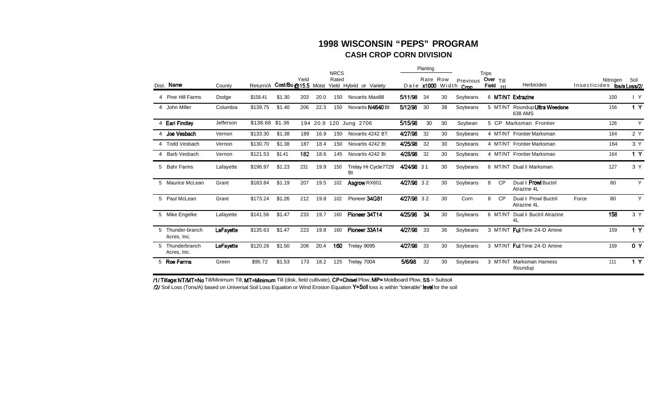#### **1998 WISCONSIN "PEPS" PROGRAM CASH CROP CORN DIVISION**

|   |                                 |           |                 |                    |       |      | <b>NRCS</b> |                           |            | Planting               |    |                        | <b>Trips</b> |                 |                                          |                            |          |                |
|---|---------------------------------|-----------|-----------------|--------------------|-------|------|-------------|---------------------------|------------|------------------------|----|------------------------|--------------|-----------------|------------------------------------------|----------------------------|----------|----------------|
|   | Dist. Name                      | County    | Return/A        | Cost/Bu@15.5 Moist | Yield |      | Rated       | Yield Hybrid or Variety   |            | Rate Row<br>Date x1000 |    | Previous<br>Width Crop | Field        | Over $T  $<br>H | <b>Herbicides</b>                        | Insecticides ibs/a Loss/2/ | Nitrogen | Soil           |
|   | 4 Pine Hill Farms               | Dodge     | \$158.41        | \$1.30             | 203   | 20.0 | 150         | <b>Novartis Max88</b>     | 5/11/98    | 34                     | 30 | Soybeans               |              |                 | 6 MT/NT Extrazine                        |                            | 100      | $\mathsf{I}$ Y |
|   | 4 John Miller                   | Columbia  | \$139.75        | \$1.40             | 206   | 22.3 | 150         | Novartis N4640 Bt         | 5/12/98    | 30                     | 38 | Soybeans               |              |                 | 5 MT/NT Roundup Ultra Weedone<br>638 AMS |                            | 156      | 1 Y            |
|   | 4 Earl Findlay                  | Jefferson | \$138.68 \$1.36 |                    |       |      |             | 194 20.9 120 Jung 2706    | 5/15/98    | 30                     | 30 | Soybean                |              |                 | 5 CP Marksman Frontier                   |                            | 126      | Y              |
|   | 4 Joe Vesbach                   | Vernon    | \$133.30        | \$1.38             | 189   | 16.9 | 150         | Novartis 4242 BT          | 4/27/98    | 32                     | 30 | Soybeans               |              |                 | 4 MT/NT Frontier Marksman                |                            | 164      | 2 Y            |
|   | 4 Todd Vesbach                  | Vernon    | \$130.70        | \$1.38             | 187   | 18.4 | 150         | Novartis 4242 Bt          | 4/25/98    | 32                     | 30 | Soybeans               |              |                 | 4 MT/NT Frontier Marksman                |                            | 164      | 3 Y            |
|   | Barb Vesbach                    | Vernon    | \$121.53        | \$1.41             | 182   | 18.6 | 145         | Novartis 4242 Bt          | 4/28/98    | 32                     | 30 | Soybeans               |              |                 | 4 MT/NT Frontier Marksman                |                            | 164      | 1 Y            |
| 5 | <b>Bahr Farms</b>               | Lafayette | \$196.97        | \$1.23             | 231   | 19.9 | 150         | Trelay Hi Cycle7729<br>Bt | 4/24/98 31 |                        | 30 | Soybeans               |              |                 | 6 MT/NT Dual II Marksman                 |                            | 127      | 3 Y            |
|   | 5 Maurice McLean                | Grant     | \$183.84        | \$1.19             | 207   | 19.5 | 102         | Asgrow RX601              | 4/27/98 32 |                        | 30 | Soybeans               | 8            | CP              | Dual II Prowl Buctril<br>Atrazine 4L     |                            | 80       | Y              |
|   | 5 Paul McLean                   | Grant     | \$173.24        | \$1.26             | 212   | 19.8 | 102         | Pioneer 34G81             | 4/27/98 32 |                        | 30 | Corn                   | 8            | <b>CP</b>       | Dual II Prowl Buctril<br>Atrazine 4L     | Force                      | 80       | Y              |
|   | 5 Mike Engelke                  | Lafayette | \$141.56        | \$1.47             | 233   | 19.7 | 160         | Pioneer 34T14             | 4/25/98    | -34                    | 30 | Soybeans               |              |                 | 6 MT/NT Dual II Buctril Atrazine<br>4L   |                            | 158      | 3 Y            |
|   | 5 Thunder-branch<br>Acres, Inc. | LaFayette | \$135.63        | \$1.47             | 223   | 19.8 | 160         | Pioneer 33A14             | 4/27/98    | 33                     | 36 | Soybeans               |              |                 | 3 MT/NT Ful Time 24-D Amine              |                            | 159      | 1 Y            |
|   | 5 Thunderbranch<br>Acres, Inc.  | LaFayette | \$120.28        | \$1.50             | 208   | 20.4 | 160         | Trelay 9095               | 4/27/98    | 33                     | 30 | Soybeans               |              |                 | 3 MT/NT Ful Time 24-D Amine              |                            | 159      | 0 Y            |
|   | 5 Roe Farms                     | Green     | \$95.72         | \$1.53             | 173   | 18.2 | 125         | Trelay 7004               | 5/6/98     | 32                     | 30 | Soybeans               |              |                 | 3 MT/NT Marksman Harness<br>Roundup      |                            | 111      | 1 Y            |

/1/ Tillage: NT/MT=No Till/Minimum Till, MT=Minimum Till (disk, field cultivate), CP=Chisel Plow, MP= Moldboard Plow, SS = Subsoil

/2/ Soil Loss (Tons/A) based on Universal Soil Loss Equation or Wind Erosion Equation Y=Soil loss is within "tolerable" level for the soil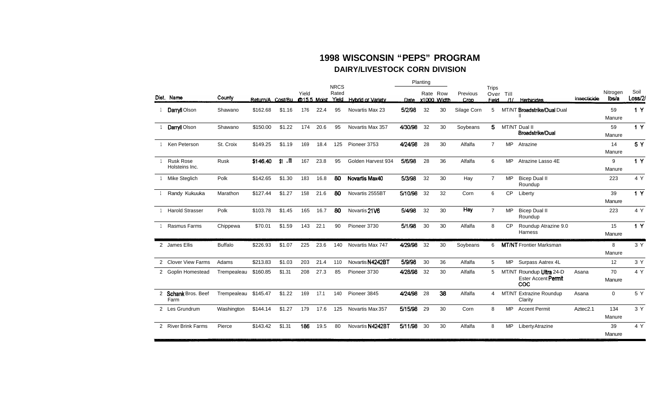#### **1998 WISCONSIN "PEPS" PROGRAM DAIRY/LIVESTOCK CORN DIVISION**

|                                    |                |                    |              |       |             | <b>NRCS</b>    |                          |         | Planting |                         |                  | <b>Trips</b>   |           |                                                               |                      |                   |                 |
|------------------------------------|----------------|--------------------|--------------|-------|-------------|----------------|--------------------------|---------|----------|-------------------------|------------------|----------------|-----------|---------------------------------------------------------------|----------------------|-------------------|-----------------|
| Dist. Name                         | County         | Return/A. Cost/Bu. |              | Yield | @15.5 Moist | Rated<br>Yield | <b>Hybrid or Variety</b> | Date    |          | Rate Row<br>x1000 Width | Previous<br>Crop | Field          | Over Till | /1/ Herbicides                                                | Insecticide          | Nitrogen<br>lbs/a | Soil<br>Loss/2/ |
| Darryll Olson                      | Shawano        | \$162.68           | \$1.16       | 176   | 22.4        | 95             | Novartis Max 23          | 5/2/98  | 32       | 30                      | Silage Corn      | 5              |           | MT/NT Broadstrike/Dual Dual                                   |                      | 59<br>Manure      | 1Y              |
| Darryll Olson                      | Shawano        | \$150.00           | \$1.22       | 174   | 20.6        | 95             | Novartis Max 357         | 4/30/98 | 32       | 30                      | Soybeans         | 5              |           | MT/NT Dual II<br><b>Broadstrike/Dual</b>                      |                      | 59<br>Manure      | 1Y              |
| Ken Peterson                       | St. Croix      | \$149.25           | \$1.19       | 169   | 18.4        | 125            | Pioneer 3753             | 4/24/98 | 28       | 30                      | Alfalfa          | $\overline{7}$ | <b>MP</b> | Atrazine                                                      |                      | 14<br>Manure      | 5 Y             |
| <b>Rusk Rose</b><br>Holsteins Inc. | <b>Rusk</b>    | \$146.40           | $$1 \cdot m$ | 167   | 23.8        | 95             | Golden Harvest 934       | 5/6/98  | 28       | 36                      | Alfalfa          | 6              | MP.       | Atrazine Lasso 4E                                             |                      | 9<br>Manure       | 1 Y             |
| Mike Steglich                      | Polk           | \$142.65           | \$1.30       | 183   | 16.8        | 80             | Novartis Max40           | 5/3/98  | 32       | 30                      | Hay              | $\overline{7}$ | <b>MP</b> | <b>Bicep Dual II</b><br>Roundup                               |                      | 223               | 4 Y             |
| Randy Kukuuka                      | Marathon       | \$127.44           | \$1.27       | 158   | 21.6        | 80             | Novartis 2555BT          | 5/10/98 | 32       | 32                      | Corn             | 6              | <b>CP</b> | Liberty                                                       |                      | 39<br>Manure      | 1Y              |
| <b>Harold Strasser</b>             | Polk           | \$103.78           | \$1.45       | 165   | 16.7        | 80             | Novartis 21V6            | 5/4/98  | 32       | 30                      | <b>Hay</b>       | $\overline{7}$ | <b>MP</b> | <b>Bicep Dual II</b><br>Roundup                               |                      | 223               | 4 Y             |
| Rasmus Farms                       | Chippewa       | \$70.01            | \$1.59       | 143   | 22.1        | 90             | Pioneer 3730             | 5/1/98  | 30       | 30                      | Alfalfa          | 8              | <b>CP</b> | Roundup Atrazine 9.0<br>Harness                               |                      | 15<br>Manure      | 1Y              |
| 2 James Ellis                      | <b>Buffalo</b> | \$226.93           | \$1.07       | 225   | 23.6        | 140            | Novartis Max 747         | 4/29/98 | 32       | 30                      | Soybeans         | 6              |           | <b>MT/NT</b> Frontier Marksman                                |                      | 8<br>Manure       | 3 Y             |
| 2 Clover View Farms                | Adams          | \$213.83           | \$1.03       | 203   | 21.4        | 110            | Novartis N4242BT         | 5/9/98  | 30       | 36                      | Alfalfa          | 5              | MP.       | Surpass Aatrex 4L                                             |                      | 12                | 3 Y             |
| 2 Goplin Homestead                 | Trempealeau    | \$160.85           | \$1.31       | 208   | 27.3        | 85             | Pioneer 3730             | 4/28/98 | 32       | 30                      | Alfalfa          | 5              |           | MT/NT Roundup Ultra 24-D<br>Ester Accent Permit<br><b>COC</b> | Asana                | 70<br>Manure      | 4 Y             |
| 2 Schank Bros. Beef<br>Farm        | Trempealeau    | \$145.47           | \$1.22       | 169   | 17.1        | 140            | Pioneer 3845             | 4/24/98 | 28       | 38                      | Alfalfa          | 4              |           | MT/NT Extrazine Roundup<br>Clarity                            | Asana                | $\mathbf{0}$      | 5 Y             |
| 2 Les Grundrum                     | Washington     | \$144.14           | \$1.27       | 179   | 17.6        | 125            | Novartis Max 357         | 5/15/98 | 29       | 30                      | Corn             | 8              | MP.       | <b>Accent Permit</b>                                          | Aztec <sub>2.1</sub> | 134<br>Manure     | 3 Y             |
| 2 River Brink Farms                | Pierce         | \$143.42           | \$1.31       | 186   | 19.5        | 80             | Novartis N4242BT         | 5/11/98 | 30       | 30                      | Alfalfa          | 8              | <b>MP</b> | Liberty Atrazine                                              |                      | 39<br>Manure      | 4 Y             |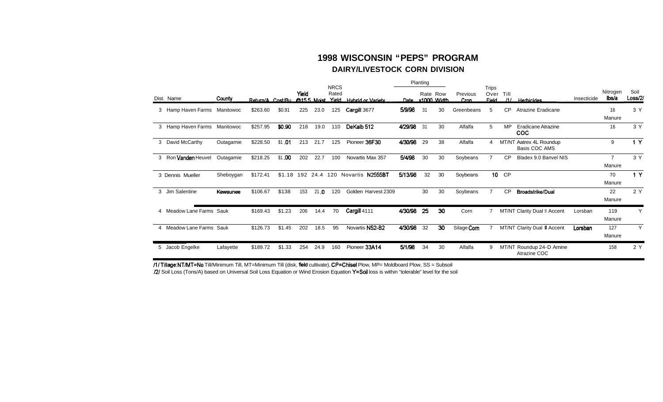#### **1998 WISCONSIN "PEPS" PROGRAM DAIRY/LIVESTOCK CORN DIVISION**

|   |                              |           |          |                 | <b>NRCS</b> |      | Planting |                                                     |         | Trips    |                  |                  |                |                  |                                          |             |                          |                 |
|---|------------------------------|-----------|----------|-----------------|-------------|------|----------|-----------------------------------------------------|---------|----------|------------------|------------------|----------------|------------------|------------------------------------------|-------------|--------------------------|-----------------|
|   | Dist. Name                   | County    |          |                 | Yield       |      | Rated    | Return/A Cost/Bu @155 Moist Yield Hybrid or Variety |         | Rate Row | Date x1000 Width | Previous<br>Cron | <b>Field</b>   | Over Till<br>111 | <b>Herbicides</b>                        | Insecticide | Nitrogen<br>lbs/a        | Soil<br>Loss/2/ |
|   | 3 Hamp Haven Farms Manitowoc |           | \$263.60 | \$0.91          | 225         | 23.0 | 125      | Cargill 3677                                        | 5/9/98  | 31       | 30               | Greenbeans       | 5              | <b>CP</b>        | Atrazine Eradicane                       |             | 16<br>Manure             | 3Y              |
|   | 3 Hamp Haven Farms           | Manitowoc | \$257.95 | \$0.90          | 218         | 19.0 | 110      | DeKalb 512                                          | 4/29/98 | 31       | 30               | Alfalfa          | 5              | <b>MP</b>        | <b>Eradicane Atrazine</b><br><b>COC</b>  |             | 16                       | 3Y              |
|   | 3 David McCarthy             | Outagamie | \$228.50 | $$1$ 01         | 213         | 21.7 | 125      | Pioneer 36F30                                       | 4/30/98 | 29       | 38               | Alfalfa          | 4              | MT/NT            | Aatrex 4L Roundup<br>Basis COC AMS       |             | 9                        | 1 Y             |
| 3 | Ron Vanden Heuvel            | Outagamie | \$218.25 | \$1.00          | 202         | 22.7 | 100      | Novartis Max 357                                    | 5/4/98  | 30       | 30               | Soybeans         | $\overline{7}$ | <b>CP</b>        | Bladex 9.0 Banvel NIS                    |             | $\overline{7}$<br>Manure | 3Y              |
|   | 3 Dennis Mueller             | Sheboygan | \$172.41 | \$1.18 192 24.4 |             |      | 120      | Novartis N2555BT                                    | 5/13/98 | 32       | 30               | Soybeans         |                | 10 CP            |                                          |             | 70<br>Manure             | 1Y              |
|   | 3 Jim Salentine              | Kewaunee  | \$106.67 | \$138           | 153         | 21.0 | 120      | Golden Harvest 2309                                 |         | 30       | 30               | Soybeans         | $\overline{7}$ | <b>CP</b>        | <b>Broadstrike/Dual</b>                  |             | 22<br>Manure             | 2 Y             |
|   | 4 Meadow Lane Farms Sauk     |           | \$169.43 | \$1.23          | 206         | 14.4 | 70       | Cargill 4111                                        | 4/30/98 | 25       | 30               | Corn             |                |                  | MT/NT Clarity Dual II Accent             | Lorsban     | 119<br>Manure            | Y               |
|   | 4 Meadow Lane Farms Sauk     |           | \$126.73 | \$1.45          | 202         | 18.5 | 95       | Novartis N52-B2                                     | 4/30/98 | 32       | 30               | Silage Com       |                |                  | MT/NT Clarity Dual II Accent             | Lorsban     | 127<br>Manure            | Y               |
|   | 5 Jacob Engelke              | Lafayette | \$189.72 | \$1.33          | 254         | 24.9 | 160      | Pioneer 33A14                                       | 5/1/98  | 34       | 30               | Alfalfa          | 9              |                  | MT/NT Roundup 24-D Amine<br>Atrazine COC |             | 158                      | 2 Y             |

/1/ Tillage: NT/MT=No Till/Minimum Till, MT=Minimum Till (disk, field cultivate), CP=Chisel Plow, MP= Moldboard Plow, SS = Subsoil

/2/ Soil Loss (Tons/A) based on Universal Soil Loss Equation or Wind Erosion Equation Y=Soil loss is within "tolerable" level for the soil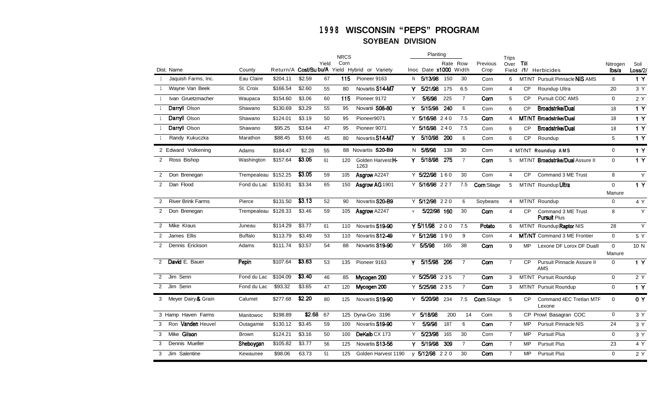#### **WISCONSIN "PEPS" PROGRAM SOYBEAN DIVISION**

|                |                                   |                      |          |        |       | <b>NRCS</b> |                                               |    | Planting                   |          |                |                    | <b>Trips</b>   |           |                                           |                        |                  |
|----------------|-----------------------------------|----------------------|----------|--------|-------|-------------|-----------------------------------------------|----|----------------------------|----------|----------------|--------------------|----------------|-----------|-------------------------------------------|------------------------|------------------|
|                |                                   |                      |          |        | Yield | Corn        |                                               |    |                            | Rate Row |                | Previous           | Over           | Till      |                                           | Nitrogen               | Soil             |
|                | Dist. Name<br>Jaquish Farms, Inc. | County               |          |        |       | 115         | Return/A Cost/Bu bu/A Yield Hybrid or Variety |    | Inoc Date x1000 Width      |          |                | Crop               | Field          |           | /1/ Herbicides                            | lbs/a                  | Loss/2/          |
|                |                                   | Eau Claire           | \$204.11 | \$2.59 | 67    |             | Pioneer 9163                                  | N. | 5/13/98                    | 150      | 30             | Corn               | 6              |           | MT/NT Pursuit Pinnacle NIS AMS            | 8                      | 1Y               |
|                | Wayne Van Beek                    | St. Croix            | \$166.54 | \$2.60 | 55    | 80          | Novartis S14-M7                               | Y  | 5/21/98                    | 175      | 6.5            | Corn               | $\overline{4}$ | CP        | Roundup Ultra                             | 20                     | 3 Y              |
|                | Ivan Gruetzmacher                 | Waupaca              | \$154.60 | \$3.06 | 60    | 115         | Pioneer 9172                                  | Y  | 5/6/98                     | 225      | $\overline{7}$ | Com                | 5              | <b>CP</b> | Pursuit COC AMS                           | $\mathbf 0$            | 2 Y              |
|                | Darryll Olson                     | Shawano              | \$130.69 | \$3.29 | 55    | 95          | Novartii S08-80                               | Y  | 5/15/98                    | 240      | 6              | Corn               | 6              | <b>CP</b> | <b>Broadstrike/Dual</b>                   | 18                     | 1 Y              |
|                | Darryll Olson                     | Shawano              | \$124.01 | \$3.19 | 50    | 95          | Pioneer9071                                   |    | $\overline{Y}$ 5/16/98 240 |          | 7.5            | Corn               | 4              |           | MT/NT Broadstrike/Dual                    | 18                     | 1 Y              |
|                | Darryll Olson                     | Shawano              | \$95.25  | \$3.64 | 47    | 95          | Pioneer 9071                                  |    | Y 5/16/98 240              |          | 7.5            | Corn               | 6              | <b>CP</b> | <b>Broadstrike/Dual</b>                   | 18                     | 1Y               |
|                | Randy Kukuczka                    | Marathon             | \$88.45  | \$3.66 | 45    | 80          | Novartis S14-M7                               | Y. | 5/10/98                    | 200      | 6              | Corn               | 6              | CP        | Roundup                                   | 5                      | 1Y               |
|                | 2 Edward Volkening                | Adams                | \$184.47 | \$2.28 | 55    |             | 88 Novartis S20-B9                            |    | N 5/6/98                   | 138      | 30             | Corn               |                |           | 4 MT/NT Roundup AMS                       | $\mathbf 0$            | 1Y               |
| $\mathbf{2}$   | Ross Bishop                       | Washington           | \$157.64 | \$3.05 | 61    | 120         | Golden HarvestH-<br>1263                      | Y  | 5/18/98                    | 275      | $\overline{7}$ | Corn               | 5              |           | MT/NT <b>Broadstrike/Dual</b> Assure II   | $\mathbf 0$            | 1Y               |
| 2              | Don Brenegan                      | Trempealeau \$152.25 |          | \$3.05 | 59    | 105         | Asgrow A2247                                  |    | Y 5/22/98 160              |          | 30             | Corn               | 4              | CP.       | Command 3 ME Trust                        | 8                      | Y                |
| $\overline{2}$ | Dan Flood                         | Fond du Lac          | \$150.81 | \$3.34 | 65    | 150         | Asgrow AG 1901                                |    | Y 5/16/98 227              |          | 7.5            | <b>Corn Silage</b> | 5              |           | MT/NT Roundup Ultra                       | $\mathbf{0}$<br>Manure | $\overline{1Y}$  |
| $\overline{2}$ | <b>River Brink Farms</b>          | Pierce               | \$131.50 | \$3.13 | 52    | 90          | Novartis S20-B9                               |    | Y 5/12/98 220              |          | 6              | Soybeans           | $\overline{4}$ |           | MT/NT Roundup                             | $\mathbf 0$            | 4 Y              |
| $\mathbf{2}$   | Don Brenegan                      | Trempealeau \$128.33 |          | \$3.46 | 59    | 105         | Asgrow A2247                                  | Y  | 5/22/98 160                |          | 30             | Corn               | $\overline{4}$ | CP        | Command 3 ME Trust<br><b>Pursuit Plus</b> | 8                      | Y                |
| $\overline{2}$ | Mike Kraus                        | Juneau               | \$114.29 | \$3.77 | 61    | 110         | Novartis S19-90                               |    | Y 5/11/98 200              |          | 7.5            | Potato             | 6              |           | MT/NT Roundup Raptor NIS                  | 28                     | Y                |
| 2              | James Ellis                       | <b>Buffalo</b>       | \$113.79 | \$3.49 | 53    | 110         | Novartis S12-49                               |    | Y 5/12/98 190              |          | 9              | Corn               | $\overline{4}$ |           | <b>MT/NT</b> Command 3 ME Frontier        | $\mathbf 0$            | 5 Y              |
| $\overline{2}$ | Dennis Erickson                   | Adams                | \$111.74 | \$3.57 | 54    | 88          | Novartis S19-90                               |    | Y 5/5/98                   | 165      | 38             | Corn               | 9              | <b>MP</b> | Lexone DF Lorox DF Dualll                 | $\mathbf{0}$<br>Manure | 10 N             |
| $\mathcal{P}$  | David E. Bauer                    | Pepin                | \$107.64 | \$3.63 | 53    | 135         | Pioneer 9163                                  | Y. | 5/15/98                    | 206      | $\overline{7}$ | Corn               | $\overline{7}$ | <b>CP</b> | Pursuit Pinnacle Assure II<br><b>AMS</b>  | $\mathbf 0$            | $\overline{1Y}$  |
|                | 2 Jim Senn                        | Fond du Lac          | \$104.09 | \$3.40 | 46    | 85          | Mycogen 200                                   |    | Y 5/25/98 235              |          | $\overline{7}$ | Corn               | 3              |           | MT/NT Pursuit Roundup                     | $\mathbf{0}$           | 2Y               |
|                | 2 Jim Senn                        | Fond du Lac          | \$93.32  | \$3.65 | 47    | 120         | Mycogen 200                                   |    | Y 5/25/98 235              |          | $\overline{7}$ | Corn               | 3              |           | MT/NT Pursuit Roundup                     | $\mathbf 0$            | $\overline{1}$ Y |
|                | 3 Meyer Dairy & Grain             | Calumet              | \$277.68 | \$2.20 | 80    | 125         | Novartis S19-90                               | Y. | 5/20/98                    | 234      | 7.5            | <b>Corn</b> Silage | 5              | CP        | Command 4EC Tretlan MTF<br>Lexone         | $\Omega$               | 0 Y              |
|                | 3 Hamp Haven Farms                | Manitowoc            | \$198.89 | \$2.68 | 67    |             | 125 Dyna-Gro 3196                             |    | Y 5/18/98                  | 200      | 14             | Corn               | 5              |           | CP Prowl Basagran COC                     | $\mathbf 0$            | 3 Y              |
| 3              | Ron Vanden Heuvel                 | Outagamie            | \$130.12 | \$3.45 | 59    | 100         | Novartis S19-90                               | Y  | 5/9/98                     | 187      | 6              | Corn               | $\overline{7}$ | <b>MP</b> | <b>Pursuit Pinnacle NIS</b>               | 24                     | 3Y               |
|                | 3 Mike Gilson                     | <b>Brown</b>         | \$124.21 | \$3.16 | 50    | 100         | DeKalb CX 173                                 | Y  | 5/23/98                    | 165      | 30             | Corn               | $\overline{7}$ | <b>MP</b> | <b>Pursuit Plus</b>                       | $\mathbf{0}$           | 3 Y              |
| 3              | Dennis Mueller                    | Sheboygan            | \$105.82 | \$3.77 | 56    | 125         | Novartis S13-56                               | Y  | 5/19/98                    | 309      | $\overline{7}$ | Corn               | $\overline{7}$ | MP        | <b>Pursuit Plus</b>                       | 23                     | 4 Y              |
| 3              | Jim Salentine                     | Kewaunee             | \$98.06  | 63.73  | 51    | 125         | Golden Harvest 1190                           |    | y 5/12/98 220              |          | 30             | Com                | $\overline{7}$ | <b>MP</b> | <b>Pursuit Plus</b>                       | $\mathbf 0$            | 2 Y              |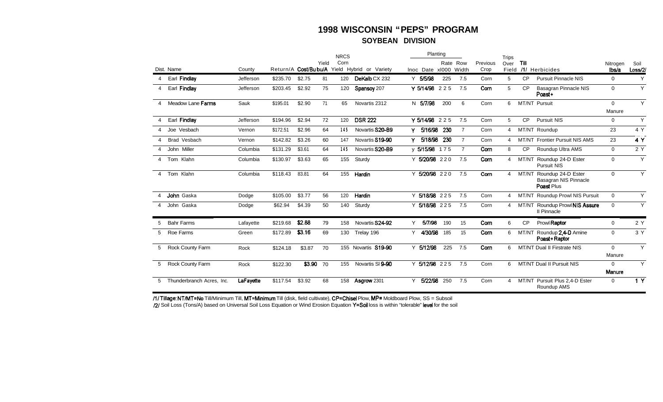#### **1998 WISCONSIN "PEPS" PROGRAM** SOYBEAN DIVISION

|                |                           |           |          |                        |       | <b>NRCS</b> |                            | Planting              |     |                |                  | <b>Trips</b>   |           |                                                           |                   |                |
|----------------|---------------------------|-----------|----------|------------------------|-------|-------------|----------------------------|-----------------------|-----|----------------|------------------|----------------|-----------|-----------------------------------------------------------|-------------------|----------------|
|                | Dist. Name                | County    |          | Return/A Cost/Bubu/A   | Yield | Corn        | Yield Hybrid or Variety    | Inoc Date xl000 Width |     | Rate Row       | Previous<br>Crop | Over<br>Field  | Till      | /1/ Herbicides                                            | Nitrogen<br>lbs/a | Soil<br>Loss/2 |
|                | Earl Findlay              | Jefferson | \$235.70 | \$2.75                 | 81    | 120         | DeKalb CX 232              | Y 5/5/98              | 225 | 7.5            | Corn             | 5              | CP        | <b>Pursuit Pinnacle NIS</b>                               | 0                 | Y              |
|                |                           |           | \$203.45 | \$2.92                 | 75    |             |                            | Y 5/14/98 225         |     | 7.5            | Corn             |                | <b>CP</b> |                                                           |                   | Y              |
| 4              | Earl Findlay              | Jefferson |          |                        |       | 120         | Spansov <sub>207</sub>     |                       |     |                |                  | 5              |           | Basagran Pinnacle NIS<br>Poast+                           | $\mathbf 0$       |                |
| 4              | Meadow Lane Farms         | Sauk      | \$195.01 | \$2.90                 | 71    | 65          | Novartis 2312              | 5/7/98<br>N           | 200 | 6              | Corn             | 6              |           | MT/NT Pursuit                                             | $\Omega$          | Y              |
|                |                           |           |          |                        |       |             |                            |                       |     |                |                  |                |           |                                                           | Manure            |                |
| 4              | Earl Findlay              | Jefferson | \$194.96 | \$2.94                 | 72    | 120         | <b>DSR 222</b>             | Y 5/14/98 225         |     | 7.5            | Corn             | 5              | <b>CP</b> | <b>Pursuit NIS</b>                                        | $\mathbf 0$       | Y              |
|                | Joe Vesbach               | Vernon    | \$172.51 | \$2.96                 | 64    | 145         | Novartis S20-B9            | 5/16/98<br>Y          | 230 | $\overline{7}$ | Corn             | 4              |           | MT/NT Roundup                                             | 23                | 4 Y            |
|                | Brad Vesbach              | Vernon    | \$142.82 | \$3.26                 | 60    | 147         | Novartis S19-90            | 5/18/98<br>۷          | 230 | $\overline{7}$ | Corn             | 4              |           | MT/NT Frontier Pursuit NIS AMS                            | 23                | 4 Y            |
|                | John Miller               | Columbia  | \$131.29 | \$3.61                 | 64    | 145         | Novartis S20-B9            | y 5/15/98 175         |     | $\overline{7}$ | Corn             | 8              | <b>CP</b> | Roundup Ultra AMS                                         | $\mathbf 0$       | 2 Y            |
| $\overline{4}$ | Tom Klahn                 | Columbia  | \$130.97 | \$3.63                 | 65    | 155         | Sturdy                     | Y 5/20/98 220         |     | 7.5            | Corn             | $\overline{4}$ | MT/NT     | Roundup 24-D Ester<br><b>Pursuit NIS</b>                  | $\mathbf 0$       | Y              |
| 4              | Tom Klahn                 | Columbia  | \$118.43 | 83.81                  | 64    | 155         | Hardin                     | Y 5/20/98 220         |     | 7.5            | Corn             | 4              | MT/NT     | Roundup 24-D Ester<br>Basagran NIS Pinnacle<br>Poast Plus | $\mathbf 0$       | Y              |
|                | John Gaska                | Dodge     | \$105.00 | \$3.77                 | 56    | 120         | Hardin                     | Y 5/18/98 225         |     | 7.5            | Corn             | 4              |           | MT/NT Roundup Prowl NIS Pursuit                           | $\mathbf 0$       | Y              |
| 4              | John Gaska                | Dodge     | \$62.94  | \$4.39                 | 50    | 140         | Sturdy                     | Y 5/18/98 225         |     | 7.5            | Corn             | 4              |           | MT/NT Roundup Prowl NIS Assure<br>II Pinnacle             | $\mathbf 0$       | Y              |
|                | <b>Bahr Farms</b>         | Lafayette | \$219.68 | \$2.88                 | 79    | 158         | Novartis S24-92            | 5/7/98<br>Y           | 190 | 15             | Corn             | 6              | <b>CP</b> | Prowl Raptor                                              | $\mathbf 0$       | 2 Y            |
| 5              | Roe Farms                 | Green     | \$172.89 | \$3.16                 | 69    | 130         | Trelay 196                 | 4/30/98<br>Y          | 185 | 15             | Corn             | 6              | MT/NT     | Roundup 2.4-D Amine<br>Poast+Raptor                       | $\mathbf 0$       | 3Y             |
| 5              | Rock County Farm          | Rock      | \$124.18 | \$3.87                 | 70    |             | 155 Novartis <b>S19-90</b> | Y 5/12/98             | 225 | 7.5            | Corn             | 6              |           | MT/NT Dual II Firstrate NIS                               | $\Omega$          | Y              |
|                |                           |           |          |                        |       |             |                            |                       |     |                |                  |                |           |                                                           | Manure            |                |
| 5              | <b>Rock County Farm</b>   | Rock      | \$122.30 | $\overline{\$3.90}$ 70 |       | 155         | Novartis SI 9-90           | Y 5/12/98 225         |     | 7.5            | Corn             | 6              |           | MT/NT Dual II Pursuit NIS                                 | $\Omega$          | Y              |
|                |                           |           |          |                        |       |             |                            |                       |     |                |                  |                |           |                                                           | Manure            |                |
| 5              | Thunderbranch Acres, Inc. | LaFayette | \$117.54 | \$3.92                 | 68    | 158         | Asgrow 2301                | 5/22/98<br>Y          | 250 | 7.5            | Corn             | 4              |           | MT/NT Pursuit Plus 2.4-D Ester<br>Roundup AMS             | $\mathbf 0$       | 1 <sub>Y</sub> |

/1/ Tillage: NT/MT=No Till/Minimum Till, MT=Minimum Till (disk, field cultivate), CP=Chisel Plow, MP= Moldboard Plow, SS = Subsoil /2/ Soil Loss (Tons/A) based on Universal Soil Loss Equation or Wind Erosion Equation Y=Soil loss is within "tolerable" level for the soil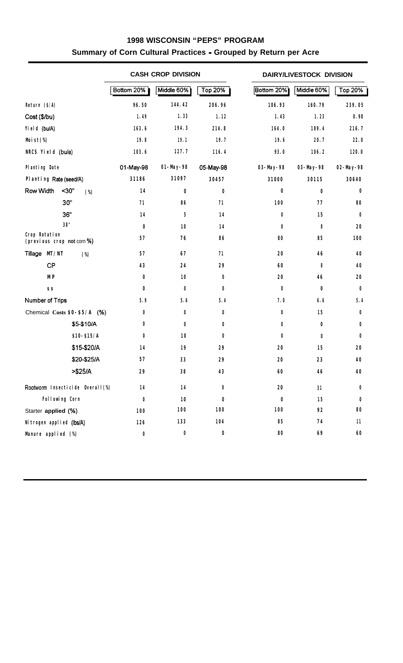#### **1998 WISCONSIN "PEPS" PROGRAM Summary of Corn Cultural Practices - Grouped by Return per Acre**

|                                             |                |                                 |             | <b>CASH CROP DIVISION</b> |            |            | DAIRY/LIVESTOCK DIVISION |                |
|---------------------------------------------|----------------|---------------------------------|-------------|---------------------------|------------|------------|--------------------------|----------------|
|                                             |                |                                 | Bottom 20%  | Middle 60%                | Top 20%    | Bottom 20% | Middle 60%               | <b>Top 20%</b> |
| Return $(S/A)$                              |                |                                 | 96.50       | 144.42                    | 206.96     | 106.93     | 160.79                   | 239.05         |
| Cost (\$/bu)                                |                |                                 | 1.49        | 1.33                      | 1.12       | 1.43       | 1.23                     | 0.98           |
| Yield (bu/A)                                |                |                                 | 163.6       | 194.3                     | 214.8      | 164.0      | 189.4                    | 216.7          |
| Mist(%)                                     |                |                                 | 19.8        | 19.1                      | 19.7       | 19.6       | 20.7                     | 22.0           |
| NRCS Yield (bu/a)                           |                |                                 | 103.6       | 127.7                     | 116.4      | 93.0       | 106.2                    | 120.0          |
| <b>Planting Date</b>                        |                |                                 | 01-May-98   | $01 - My - 98$            | 05-May-98  | 03-May-98  | 03-May-98                | 02-May-98      |
| Planting Rate (seed/A)                      |                |                                 | 31186       | 31097                     | 30457      | 31000      | 30115                    | 30640          |
| Row Width                                   | 30"            | (%)                             | 14          | 0                         | $\bf{0}$   | 0          | 0                        | $\mathbf 0$    |
|                                             | 30"            |                                 | 71          | 86                        | 71         | <b>100</b> | 77                       | 80             |
|                                             | 36"            |                                 | 14          | 5                         | 14         | 0          | 15                       | 0              |
|                                             | 38"            |                                 | 0           | 10                        | 14         | 0          | 8                        | 20             |
| Crop Rotation<br>(previous crop not corn %) |                |                                 | 57          | 76                        | 86         | 80         | 85                       | <b>100</b>     |
| Tillage MT/NT                               |                | (%)                             | 57          | 67                        | 71         | 20         | 46                       | 40             |
| CP                                          |                |                                 | 43          | 24                        | 29         | 60         | 8                        | 40             |
| <b>MP</b>                                   |                |                                 | 0           | 10                        | 0          | 20         | 46                       | 20             |
| SS                                          |                |                                 | $\mathbf 0$ | 0                         | 0          | 0          | $\bf{0}$                 | $\mathbf 0$    |
| Number of Trips                             |                |                                 | 5.9         | 5.6                       | 5.4        | 7.0        | 6.6                      | 5.4            |
|                                             |                | Chemical Costs \$0-\$5/A (%)    | 0           | 0                         | $\pmb{0}$  | 0          | 15                       | 0              |
|                                             |                | \$5-\$10/A                      | 0           | $\mathbf 0$               | 0          | 0          | $\bf{0}$                 | 0              |
|                                             |                | \$10-\$15/A                     | 0           | 10                        | 0          | 0          | 0                        | 0              |
|                                             |                | \$15-\$20/A                     | 14          | 19                        | 29         | 20         | 15                       | 20             |
|                                             |                | \$20-\$25/A                     | 57          | 33                        | 29         | 20         | 23                       | 40             |
|                                             |                | > \$25/A                        | 29          | 38                        | 43         | 60         | 46                       | 40             |
|                                             |                | Rootworm Insecticide Overall(%) | 14          | 14                        | 0          | 20         | 31                       | $\bf{0}$       |
|                                             | Following Corn |                                 | 0           | 10                        | $\bf{0}$   | $\bf{0}$   | 15                       | $\mathbf 0$    |
| Starter applied (%)                         |                |                                 | 100         | 100                       | <b>100</b> | <b>100</b> | 92                       | 80             |
| Nitrogen applied (lbs/A)                    |                |                                 | 126         | 133                       | 104        | 85         | 74                       | 11             |
| Manure applied (%)                          |                |                                 | $\pmb{0}$   | $\pmb{0}$                 | $\pmb{0}$  | 80         | 69                       | 60             |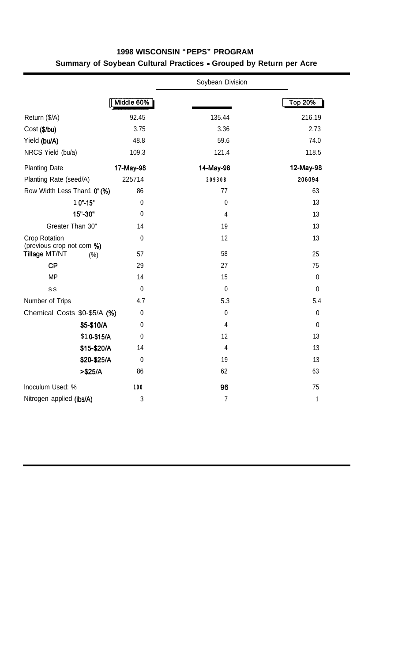|                                                     |             | Soybean Division |                  |
|-----------------------------------------------------|-------------|------------------|------------------|
|                                                     | Middle 60%  |                  | <b>Top 20%</b>   |
| Return (\$/A)                                       | 92.45       | 135.44           | 216.19           |
| Cost (\$/bu)                                        | 3.75        | 3.36             | 2.73             |
| Yield (bu/A)                                        | 48.8        | 59.6             | 74.0             |
| NRCS Yield (bu/a)                                   | 109.3       | 121.4            | 118.5            |
| <b>Planting Date</b>                                | 17-May-98   | 14-May-98        | 12-May-98        |
| Planting Rate (seed/A)                              | 225714      | 209308           | 206094           |
| Row Width Less Than1 0"(%)                          | 86          | 77               | 63               |
| 1 0"-15"                                            | $\mathbf 0$ | $\mathbf 0$      | 13               |
| 15"-30"                                             | $\mathbf 0$ | $\overline{4}$   | 13               |
| Greater Than 30"                                    | 14          | 19               | 13               |
| Crop Rotation                                       | $\mathbf 0$ | 12               | 13               |
| (previous crop not corn %)<br>Tillage MT/NT<br>(% ) | 57          | 58               | 25               |
| <b>CP</b>                                           | 29          | 27               | 75               |
| <b>MP</b>                                           | 14          | 15               | $\pmb{0}$        |
| s s                                                 | $\mathbf 0$ | $\pmb{0}$        | $\boldsymbol{0}$ |
| Number of Trips                                     | 4.7         | 5.3              | 5.4              |
| Chemical Costs \$0-\$5/A (%)                        | $\mathbf 0$ | $\pmb{0}$        | $\mathbf 0$      |
| \$5-\$10/A                                          | $\mathbf 0$ | $\overline{4}$   | $\mathbf 0$      |
| \$10-\$15/A                                         | $\mathbf 0$ | 12               | 13               |
| \$15-\$20/A                                         | 14          | $\overline{4}$   | 13               |
| \$20-\$25/A                                         | $\mathbf 0$ | 19               | 13               |
| $> $25/A$                                           | 86          | 62               | 63               |
| Inoculum Used: %                                    | 100         | 96               | 75               |
| Nitrogen applied (Ibs/A)                            | 3           | $\overline{7}$   | $\mathbf{1}$     |

#### **1998 WISCONSIN "PEPS" PROGRAM Summary of Soybean Cultural Practices - Grouped by Return per Acre**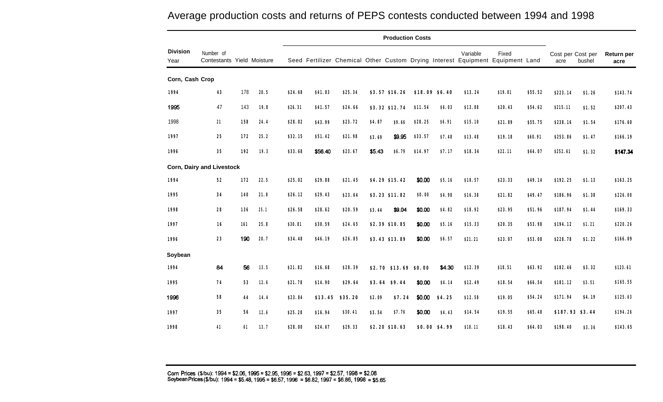**Production Costs Division** Number of Number of Return per Year Contestants Yield Moisture Seed Fertilizer Chemical Other Custom Drying Interest Equipment Equipment Land acre bushel **acre Corn, Cash Crop 1994 43** 178 1995 47 143 1998 **21 158 1997 25 172 1996 35 192 Corn, Dairy and Livestock 1994 52 172 1995 34 140 1998 28 136 1997 16 161 1996 23 190 Soybean 1994 1995 1996 1997 1998 20.5 \$24.68 \$41.03 \$25.34 \$3.57 \$16.26 \$18.09 \$6.40 \$13.24 \$19.01 \$55.52 19.8 \$26.31 \$41.57 \$24.66 \$3.32 \$12.74 24.4 \$28.02 \$43.99 \$23.72 25.2 19.3 \$32.15 \$51.42 \$21.98 \$33.68 \$56.40 \$23.67 \$4.87 \$9.66 \$3.69 s9.95 8.43 \$6.79 \$11.54 \$6.03 \$28.25 \$6.91 \$33.57 \$7.48 \$14.97 \$7.17 \$13.88 \$20.43 \$54.62 \$15.10 \$21.89 \$13.48 \$19.18 \$18.34 \$22.11 \$55.75 \$60.91 \$64.07 \$49.14 \$49.47 \$51.96 \$53.98 \$53.08 22.5 \$25.02 \$29.88 \$21.45 \$4.29 \$15.42 21.8 \$26.12 \$29.43 \$23.64 \$3.23 \$11.82 25.1 \$26.58 \$28.62 \$20.59 25.8 \$30.81 \$24.65 \$3.44 \$9.04 \$2.39 \$10.85 20.7 \$34.48 \$30.59 \$46.19 \$26.85 \$3.43 \$13.89 w.00 \$5.16 \$0.00 \$4.98 \$0.00 \$4.82 \$0.00 \$5.16 \$0.00 \$6.57 \$18.57 \$23.33 \$16.38 \$21.82 \$18.92 \$23.95 \$15.33 \$21.21 \$20.35 \$23.07 \$223.14 \$1.26 \$215.11 \$1.52 \$238.16 \$1.54 \$253.86 \$1.47 \$252.61 \$1.32 \$192.25 \$1.13 \$186.96 \$1.38 \$187.94 \$1.44 \$194.12 \$1.21 \$228.78 \$1.22 \$143.74 \$207.43 \$176.60 \$166.19 \$147.34 \$163.25 \$226.00 \$169.33 \$220.26 \$166.09** 84 56 **13.5 \$21.82 \$16.68 \$28.39 \$2.70 \$13.69 \$0.00 \$4.30 \$12.39 \$18.51 \$63.92 \$182.46 \$3.32 \$123.61 74 53 12.6 \$21.78 \$14.90 \$29.64 \$3.64 \$9.44 \$0.00 \$4.14 \$12.49 \$18.54 \$66.54 \$181.12 \$3.51 \$165.55 58 44 14.4 \$23.84 \$13.45 \$35.20 \$2.09 \$7.24 \$0.00 \$4.25 \$12.58 \$19.05 \$54.24 \$171.94 \$4.19 \$125.63 35 56 12.6 \$25.28 \$16.94 \$30.41 \$3.54 \$7.76 \$0.00 \$4.43 \$14.54 \$19.55 \$65.48 \$187.93 \$3.44 \$194.26 41 61 13.7 \$28.00 \$24.67 \$29.33 \$2.20 \$10.63 \$0.00 \$4.99 \$18.11 \$18.43 \$64.03 \$198.40 \$3.36 \$143.65**

### Average production costs and returns of PEPS contests conducted between 1994 and 1998